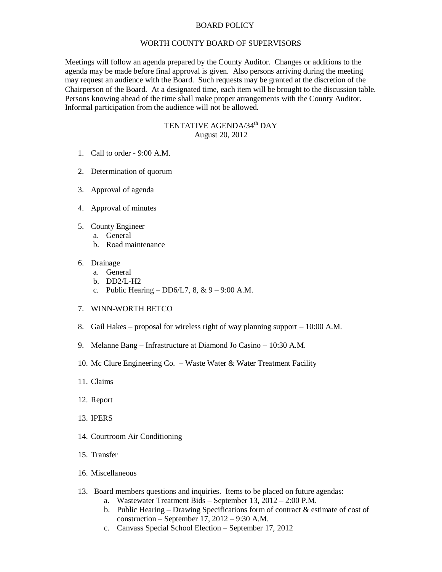## BOARD POLICY

## WORTH COUNTY BOARD OF SUPERVISORS

Meetings will follow an agenda prepared by the County Auditor. Changes or additions to the agenda may be made before final approval is given. Also persons arriving during the meeting may request an audience with the Board. Such requests may be granted at the discretion of the Chairperson of the Board. At a designated time, each item will be brought to the discussion table. Persons knowing ahead of the time shall make proper arrangements with the County Auditor. Informal participation from the audience will not be allowed.

## TENTATIVE AGENDA/34<sup>th</sup> DAY August 20, 2012

- 1. Call to order 9:00 A.M.
- 2. Determination of quorum
- 3. Approval of agenda
- 4. Approval of minutes
- 5. County Engineer
	- a. General
		- b. Road maintenance
- 6. Drainage
	- a. General
	- b. DD2/L-H2
	- c. Public Hearing DD6/L7,  $8, \& 9 9:00$  A.M.
- 7. WINN-WORTH BETCO
- 8. Gail Hakes proposal for wireless right of way planning support 10:00 A.M.
- 9. Melanne Bang Infrastructure at Diamond Jo Casino 10:30 A.M.
- 10. Mc Clure Engineering Co. Waste Water & Water Treatment Facility
- 11. Claims
- 12. Report
- 13. IPERS
- 14. Courtroom Air Conditioning
- 15. Transfer
- 16. Miscellaneous
- 13. Board members questions and inquiries. Items to be placed on future agendas:
	- a. Wastewater Treatment Bids September 13, 2012 2:00 P.M.
	- b. Public Hearing Drawing Specifications form of contract  $\&$  estimate of cost of construction – September 17, 2012 – 9:30 A.M.
	- c. Canvass Special School Election September 17, 2012